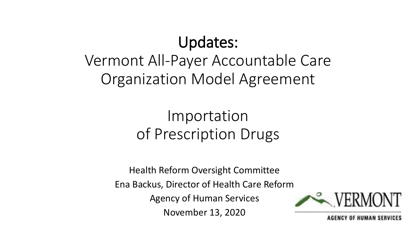#### Updates:

#### Vermont All-Payer Accountable Care Organization Model Agreement

#### Importation of Prescription Drugs

Health Reform Oversight Committee Ena Backus, Director of Health Care Reform Agency of Human Services November 13, 2020



*OF HUMAN SERVICES*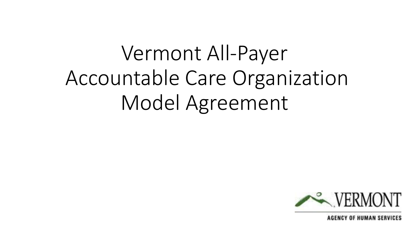# Vermont All-Payer Accountable Care Organization Model Agreement

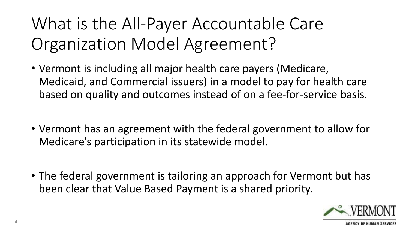What is the All-Payer Accountable Care Organization Model Agreement?

- Vermont is including all major health care payers (Medicare, Medicaid, and Commercial issuers) in a model to pay for health care based on quality and outcomes instead of on a fee-for-service basis.
- Vermont has an agreement with the federal government to allow for Medicare's participation in its statewide model.
- The federal government is tailoring an approach for Vermont but has been clear that Value Based Payment is a shared priority.

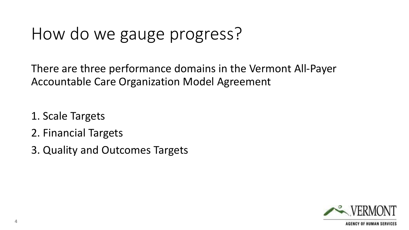#### How do we gauge progress?

There are three performance domains in the Vermont All-Payer Accountable Care Organization Model Agreement

- 1. Scale Targets
- 2. Financial Targets
- 3. Quality and Outcomes Targets

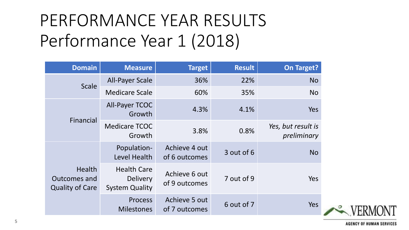# PERFORMANCE YEAR RESULTS Performance Year 1 (2018)

| <b>Domain</b>                                                  | <b>Measure</b>                                                 | <b>Target</b>                  | <b>Result</b> | <b>On Target?</b>                 |
|----------------------------------------------------------------|----------------------------------------------------------------|--------------------------------|---------------|-----------------------------------|
| <b>Scale</b>                                                   | <b>All-Payer Scale</b>                                         | 36%                            | 22%           | <b>No</b>                         |
|                                                                | <b>Medicare Scale</b>                                          | 60%                            | 35%           | <b>No</b>                         |
| Financial                                                      | All-Payer TCOC<br>Growth                                       | 4.3%                           | 4.1%          | Yes                               |
|                                                                | <b>Medicare TCOC</b><br>Growth                                 | 3.8%                           | 0.8%          | Yes, but result is<br>preliminary |
| <b>Health</b><br><b>Outcomes and</b><br><b>Quality of Care</b> | Population-<br>Level Health                                    | Achieve 4 out<br>of 6 outcomes | 3 out of 6    | <b>No</b>                         |
|                                                                | <b>Health Care</b><br><b>Delivery</b><br><b>System Quality</b> | Achieve 6 out<br>of 9 outcomes | 7 out of 9    | Yes                               |
|                                                                | <b>Process</b><br><b>Milestones</b>                            | Achieve 5 out<br>of 7 outcomes | 6 out of 7    | Yes                               |

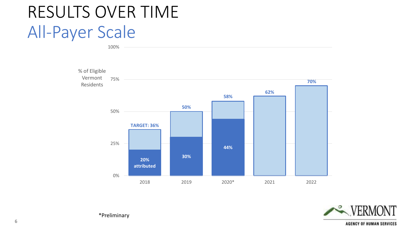#### RESULTS OVER TIME All-Payer Scale





\*Preliminary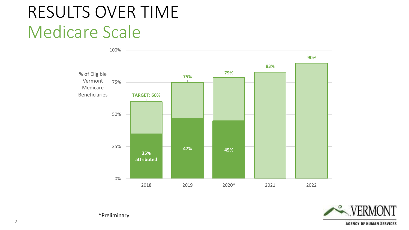#### RESULTS OVER TIME Medicare Scale





\*Preliminary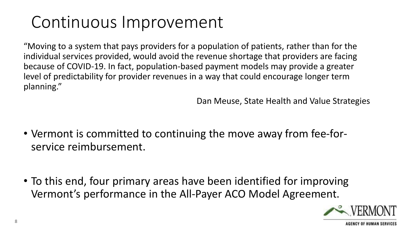# Continuous Improvement

"Moving to a system that pays providers for a population of patients, rather than for the individual services provided, would avoid the revenue shortage that providers are facing because of COVID-19. In fact, population-based payment models may provide a greater level of predictability for provider revenues in a way that could encourage longer term planning."

Dan Meuse, State Health and Value Strategies

- Vermont is committed to continuing the move away from fee-forservice reimbursement.
- To this end, four primary areas have been identified for improving Vermont's performance in the All-Payer ACO Model Agreement.

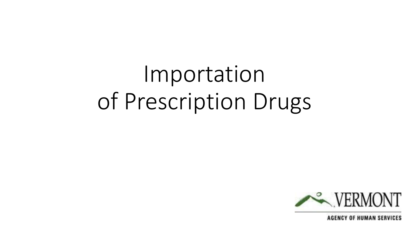# Importation of Prescription Drugs

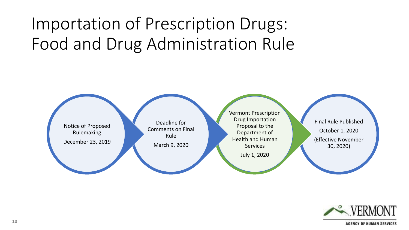# Importation of Prescription Drugs: Food and Drug Administration Rule



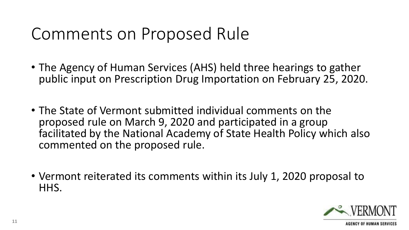#### Comments on Proposed Rule

- The Agency of Human Services (AHS) held three hearings to gather public input on Prescription Drug Importation on February 25, 2020.
- The State of Vermont submitted individual comments on the proposed rule on March 9, 2020 and participated in a group facilitated by the National Academy of State Health Policy which also commented on the proposed rule.
- Vermont reiterated its comments within its July 1, 2020 proposal to HHS.